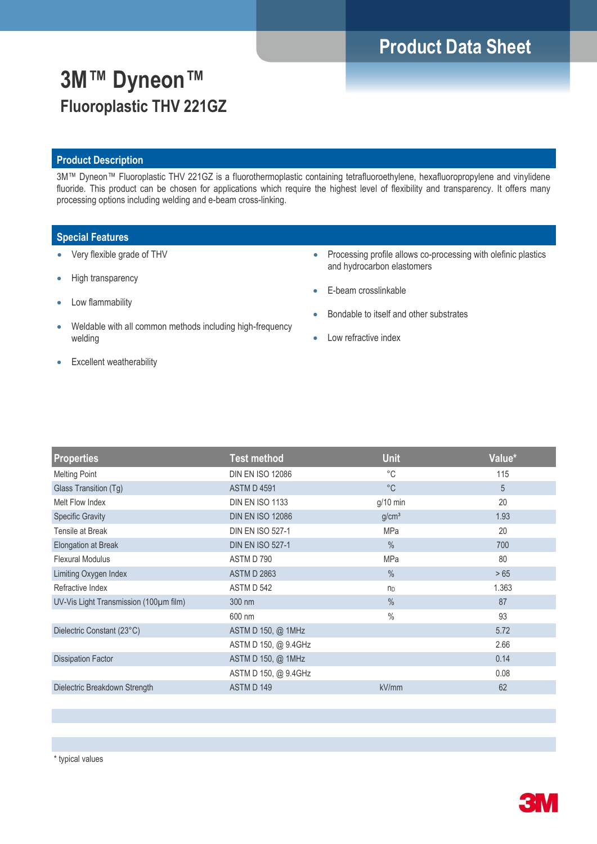# **Product Data Sheet**

# **3M™ Dyneon™ Fluoroplastic THV 221GZ**

### **Product Description**

3M™ Dyneon™ Fluoroplastic THV 221GZ is a fluorothermoplastic containing tetrafluoroethylene, hexafluoropropylene and vinylidene fluoride. This product can be chosen for applications which require the highest level of flexibility and transparency. It offers many processing options including welding and e-beam cross-linking.

### **Special Features**

- Very flexible grade of THV
- High transparency
- Low flammability
- Weldable with all common methods including high-frequency welding
- Processing profile allows co-processing with olefinic plastics and hydrocarbon elastomers
- E-beam crosslinkable
- Bondable to itself and other substrates
- Low refractive index

• Excellent weatherability

| <b>Properties</b>                      | <b>Test method</b>      | <b>Unit</b>       | Value* |
|----------------------------------------|-------------------------|-------------------|--------|
| <b>Melting Point</b>                   | <b>DIN EN ISO 12086</b> | $^{\circ}$ C      | 115    |
| Glass Transition (Tg)                  | <b>ASTM D 4591</b>      | $^{\circ}C$       | 5      |
| Melt Flow Index                        | <b>DIN EN ISO 1133</b>  | $g/10$ min        | 20     |
| <b>Specific Gravity</b>                | <b>DIN EN ISO 12086</b> | g/cm <sup>3</sup> | 1.93   |
| Tensile at Break                       | <b>DIN EN ISO 527-1</b> | <b>MPa</b>        | 20     |
| Elongation at Break                    | <b>DIN EN ISO 527-1</b> | $\%$              | 700    |
| <b>Flexural Modulus</b>                | ASTM D 790              | <b>MPa</b>        | 80     |
| Limiting Oxygen Index                  | <b>ASTM D 2863</b>      | $\%$              | >65    |
| Refractive Index                       | ASTM D 542              | n <sub>D</sub>    | 1.363  |
| UV-Vis Light Transmission (100µm film) | 300 nm                  | $\%$              | 87     |
|                                        | 600 nm                  | $\%$              | 93     |
| Dielectric Constant (23°C)             | ASTM D 150, @ 1MHz      |                   | 5.72   |
|                                        | ASTM D 150, @ 9.4GHz    |                   | 2.66   |
| <b>Dissipation Factor</b>              | ASTM D 150, @ 1MHz      |                   | 0.14   |
|                                        | ASTM D 150, @ 9.4GHz    |                   | 0.08   |
| Dielectric Breakdown Strength          | ASTM D 149              | kV/mm             | 62     |
|                                        |                         |                   |        |

\* typical values

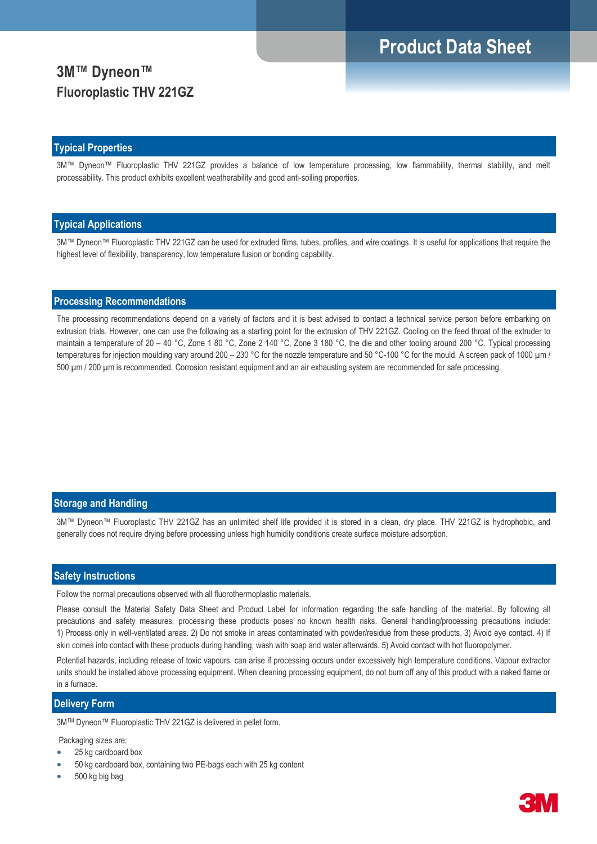## **Product Data Sheet**

## **3M™ Dyneon™ Fluoroplastic THV 221GZ**

#### **Typical Properties**

3M™ Dyneon™ Fluoroplastic THV 221GZ provides a balance of low temperature processing, low flammability, thermal stability, and melt processability. This product exhibits excellent weatherability and good anti-soiling properties.

#### **Typical Applications**

3M™ Dyneon™ Fluoroplastic THV 221GZ can be used for extruded films, tubes, profiles, and wire coatings. It is useful for applications that require the highest level of flexibility, transparency, low temperature fusion or bonding capability.

### **Processing Recommendations**

The processing recommendations depend on a variety of factors and it is best advised to contact a technical service person before embarking on extrusion trials. However, one can use the following as a starting point for the extrusion of THV 221GZ. Cooling on the feed throat of the extruder to maintain a temperature of 20 – 40 °C, Zone 1 80 °C, Zone 2 140 °C, Zone 3 180 °C, the die and other tooling around 200 °C. Typical processing temperatures for injection moulding vary around 200 – 230 °C for the nozzle temperature and 50 °C-100 °C for the mould. A screen pack of 1000 µm / 500 µm / 200 µm is recommended. Corrosion resistant equipment and an air exhausting system are recommended for safe processing.

### **Storage and Handling**

3M™ Dyneon™ Fluoroplastic THV 221GZ has an unlimited shelf life provided it is stored in a clean, dry place. THV 221GZ is hydrophobic, and generally does not require drying before processing unless high humidity conditions create surface moisture adsorption.

#### **Safety Instructions**

Follow the normal precautions observed with all fluorothermoplastic materials.

Please consult the Material Safety Data Sheet and Product Label for information regarding the safe handling of the material. By following all precautions and safety measures, processing these products poses no known health risks. General handling/processing precautions include: 1) Process only in well-ventilated areas. 2) Do not smoke in areas contaminated with powder/residue from these products. 3) Avoid eye contact. 4) If skin comes into contact with these products during handling, wash with soap and water afterwards. 5) Avoid contact with hot fluoropolymer.

Potential hazards, including release of toxic vapours, can arise if processing occurs under excessively high temperature conditions. Vapour extractor units should be installed above processing equipment. When cleaning processing equipment, do not burn off any of this product with a naked flame or in a furnace

### **Delivery Form**

3MTM Dyneon™ Fluoroplastic THV 221GZ is delivered in pellet form.

Packaging sizes are:

- 25 kg cardboard box
- 50 kg cardboard box, containing two PE-bags each with 25 kg content
- 500 kg big bag